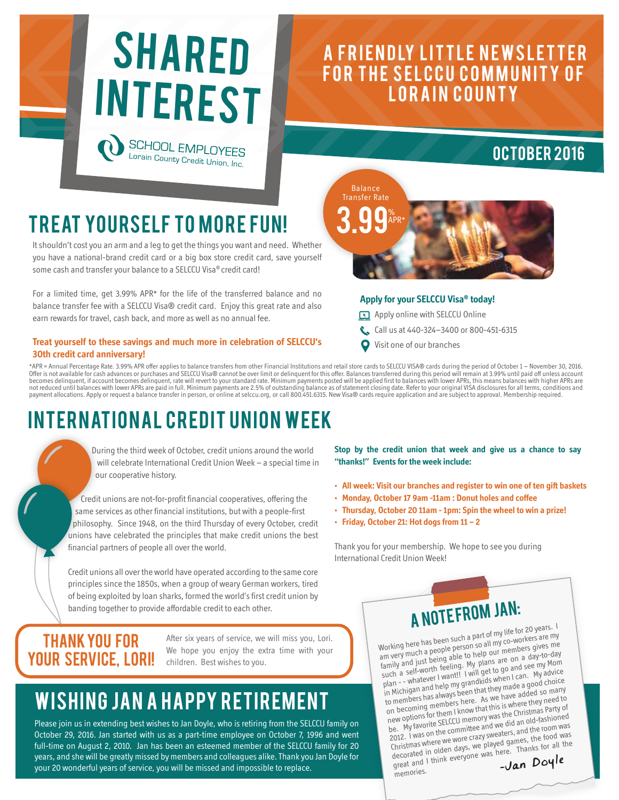

### A FRIENDLY LITTLE NEWSLETTER FOR THE SELCCU COMMUNITY OF LORAIN COUNTY



## **TREAT YOURSELF TO MORE FUN!**

It shouldn't cost you an arm and a leg to get the things you want and need. Whether you have a national-brand credit card or a big box store credit card, save yourself some cash and transfer your balance to a SELCCU Visa® credit card!

For a limited time, get 3.99% APR\* for the life of the transferred balance and no balance transfer fee with a SELCCU Visa® credit card. Enjoy this great rate and also earn rewards for travel, cash back, and more as well as no annual fee.

#### **Treat yourself to these savings and much more in celebration of SELCCU's 30th credit card anniversary!**

**Apply for your SELCCU Visa® today!**

- Apply online with SELCCU Online
- Call us at 440-324-3400 or 800-451-6315
- Visit one of our branches

**3.99** 

Balance Transfer Rate

APR\*

\*APR = Annual Percentage Rate. 3.99% APR offer applies to balance transfers from other Financial Institutions and retail store cards to SELCCU VISA® cards during the period of October 1 – November 30, 2016.<br>Offer is not av becomes delinquent, if account becomes delinquent, rate will revert to your standard rate. Minimum payments posted will be applied first to balances with lower APRs, this means balances with higher APRs are not reduced until balances with lower APRs are paid in full. Minimum payments are 2.5% of outstanding balance as of statement closing date. Refer to your original VISA disclosures for all terms, conditions and<br>payment allo

# INTERNATIONAL CREDIT UNION WEEK

 During the third week of October, credit unions around the world will celebrate International Credit Union Week – a special time in our cooperative history.

 Credit unions are not-for-profit financial cooperatives, offering the same services as other financial institutions, but with a people-first philosophy. Since 1948, on the third Thursday of every October, credit unions have celebrated the principles that make credit unions the best financial partners of people all over the world.

Credit unions all over the world have operated according to the same core principles since the 1850s, when a group of weary German workers, tired of being exploited by loan sharks, formed the world's first credit union by banding together to provide affordable credit to each other.

### Thank you for YOUR SERVICE, LORI!

After six years of service, we will miss you, Lori. We hope you enjoy the extra time with your children. Best wishes to you.

# WISHING JAN A HAPPY RETIREMENT

Please join us in extending best wishes to Jan Doyle, who is retiring from the SELCCU family on October 29, 2016. Jan started with us as a part-time employee on October 7, 1996 and went full-time on August 2, 2010. Jan has been an esteemed member of the SELCCU family for 20 years, and she will be greatly missed by members and colleagues alike. Thank you Jan Doyle for your 20 wonderful years of service, you will be missed and impossible to replace.

**Stop by the credit union that week and give us a chance to say "thanks!" Events for the week include:**

- **All week: Visit our branches and register to win one of ten gift baskets**
- **Monday, October 17 9am -11am : Donut holes and coffee**
- **Thursday, October 20 11am 1pm: Spin the wheel to win a prize!**
- **Friday, October 21: Hot dogs from 11 2**

Thank you for your membership. We hope to see you during International Credit Union Week!

# A NOTEFROM JAN:

Working here has been such a part of my life for 20 years. <sup>I</sup> am very much a people person so all my co-workers are my am very much a people person so all my co-workers are my and you would being able to help our members gives me family and just being able to help our members gives me such a self-worth feeling. My plans are on a day-to-day<br>such a self-worth feeling. My plans are on a day-to-day plan - - whatever I want!! I will get to go and see my Mom in Michigan and help my grandkids when I can. My advice to members has always been that they made a good choice on becoming members here. As we have added so many on becoming included note. The we have added so many be. My favorite SELCCU memory was the Christmas Party of 2012. I was on the committee and we did an old-fashioned Core. I was on the commutee and we are an indicated the room was decorated in olden days, we played games, the food was<br>decorated in olden days, we played games, the food was<br>great and 1 think everyone was here. Thanks for all the<br> $\sim$ **Lan** Doy<sup>1</sup>e Thristmas where we work we played gaines, the seconded in olden days, we played gaines, thanks for all the decorated in olden days, we played gaines, the second  $\overline{\mathbf{C}}$ memories.